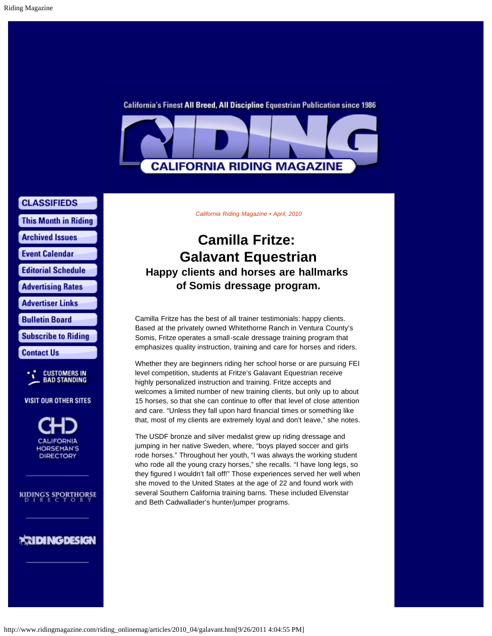California's Finest All Breed, All Discipline Equestrian Publication since 1986



**CLASSIFIEDS** 

**This Month in Riding** 

**Archived Issues** 

**Event Calendar** 

**Editorial Schedule** 

**Advertising Rates** 

**Advertiser Links** 

**Bulletin Board** 

**Subscribe to Riding** 

**Contact Us** 



**VISIT OUR OTHER SITES** 

**CALIFORNIA HORSEMAN'S DIRECTORY** 

**RIDING'S SPORTHORSE** 

## *<b>EXIDINGDESIGN*

*California Riding Magazine • April, 2010*

## **Camilla Fritze: Galavant Equestrian Happy clients and horses are hallmarks of Somis dressage program.**

Camilla Fritze has the best of all trainer testimonials: happy clients. Based at the privately owned Whitethorne Ranch in Ventura County's Somis, Fritze operates a small-scale dressage training program that emphasizes quality instruction, training and care for horses and riders.

Whether they are beginners riding her school horse or are pursuing FEI level competition, students at Fritze's Galavant Equestrian receive highly personalized instruction and training. Fritze accepts and welcomes a limited number of new training clients, but only up to about 15 horses, so that she can continue to offer that level of close attention and care. "Unless they fall upon hard financial times or something like that, most of my clients are extremely loyal and don't leave," she notes.

The USDF bronze and silver medalist grew up riding dressage and jumping in her native Sweden, where, "boys played soccer and girls rode horses." Throughout her youth, "I was always the working student who rode all the young crazy horses," she recalls. "I have long legs, so they figured I wouldn't fall off!" Those experiences served her well when she moved to the United States at the age of 22 and found work with several Southern California training barns. These included Elvenstar and Beth Cadwallader's hunter/jumper programs.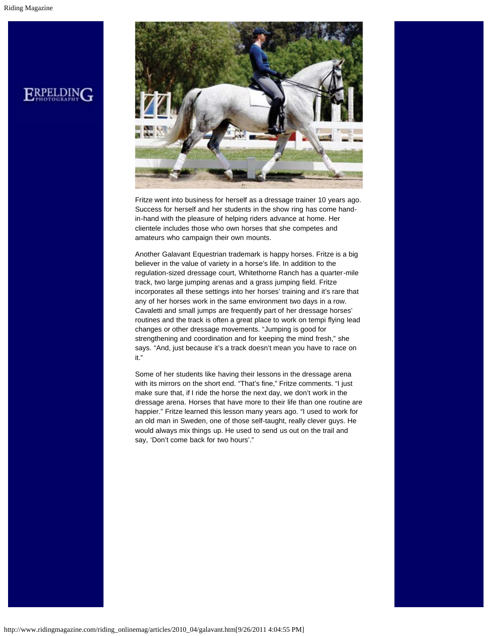

Fritze went into business for herself as a dressage trainer 10 years ago. Success for herself and her students in the show ring has come handin-hand with the pleasure of helping riders advance at home. Her clientele includes those who own horses that she competes and amateurs who campaign their own mounts.

Another Galavant Equestrian trademark is happy horses. Fritze is a big believer in the value of variety in a horse's life. In addition to the regulation-sized dressage court, Whitethorne Ranch has a quarter-mile track, two large jumping arenas and a grass jumping field. Fritze incorporates all these settings into her horses' training and it's rare that any of her horses work in the same environment two days in a row. Cavaletti and small jumps are frequently part of her dressage horses' routines and the track is often a great place to work on tempi flying lead changes or other dressage movements. "Jumping is good for strengthening and coordination and for keeping the mind fresh," she says. "And, just because it's a track doesn't mean you have to race on it."

Some of her students like having their lessons in the dressage arena with its mirrors on the short end. "That's fine," Fritze comments. "I just make sure that, if I ride the horse the next day, we don't work in the dressage arena. Horses that have more to their life than one routine are happier." Fritze learned this lesson many years ago. "I used to work for an old man in Sweden, one of those self-taught, really clever guys. He would always mix things up. He used to send us out on the trail and say, 'Don't come back for two hours'."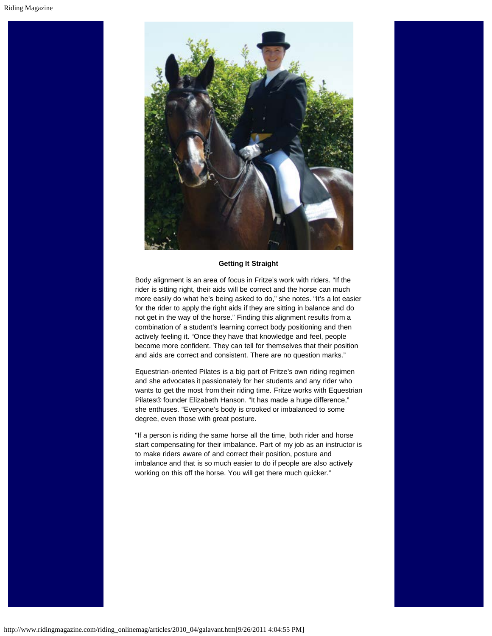

## **Getting It Straight**

Body alignment is an area of focus in Fritze's work with riders. "If the rider is sitting right, their aids will be correct and the horse can much more easily do what he's being asked to do," she notes. "It's a lot easier for the rider to apply the right aids if they are sitting in balance and do not get in the way of the horse." Finding this alignment results from a combination of a student's learning correct body positioning and then actively feeling it. "Once they have that knowledge and feel, people become more confident. They can tell for themselves that their position and aids are correct and consistent. There are no question marks."

Equestrian-oriented Pilates is a big part of Fritze's own riding regimen and she advocates it passionately for her students and any rider who wants to get the most from their riding time. Fritze works with Equestrian Pilates® founder Elizabeth Hanson. "It has made a huge difference," she enthuses. "Everyone's body is crooked or imbalanced to some degree, even those with great posture.

"If a person is riding the same horse all the time, both rider and horse start compensating for their imbalance. Part of my job as an instructor is to make riders aware of and correct their position, posture and imbalance and that is so much easier to do if people are also actively working on this off the horse. You will get there much quicker."